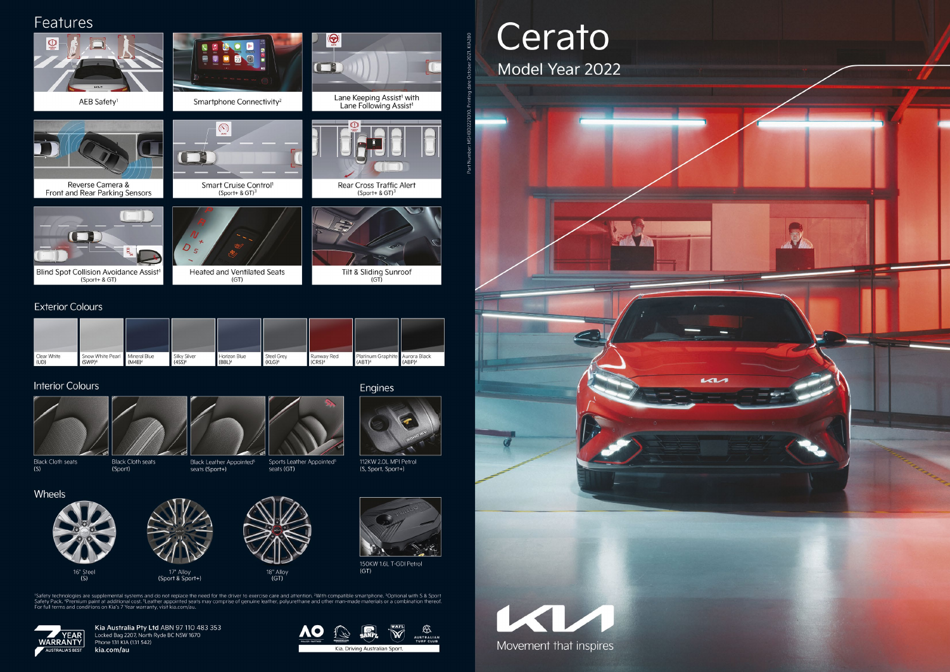## Features



#### **Exterior Colours**

| Clear White<br>(UD) | Snow White Pearl   Mineral Blue<br>(SWP) <sup>4</sup> | (M4B) <sup>4</sup> | <b>Silky Silver</b><br>(4SS) <sup>4</sup> | Horizon Blue<br>(BBL) <sup>4</sup> | <b>Steel Grey</b><br>$(KLG)^4$ | Runway Red<br>(CR5) <sup>4</sup> | Platinum Graphite Aurora Black<br>(ABT) <sup>4</sup> | (ABP) <sup>4</sup> |
|---------------------|-------------------------------------------------------|--------------------|-------------------------------------------|------------------------------------|--------------------------------|----------------------------------|------------------------------------------------------|--------------------|

#### **Interior Colours**



 $(S)$ 

Wheels



**Black Cloth seats Black Cloth seats** (Sport)

> 16" Steel  $(S)$

Black Leather Appointed<sup>5</sup> seats (Sport+)

Sports Leather Appointed<sup>5</sup> seats (GT)

18" Alloy<br>(GT)

Engines

112KW 2.0L MPI Petrol (S, Sport, Sport+)



150KW 1.6L T-GDI Petrol  $(GT)$ 

'Safety technologies are supplemental systems and do not replace the need for the driver to exercise care and attention. <sup>2</sup>With compatible smartphone. <sup>3</sup>Optional with S & Sport Safety Pack. <sup>4</sup>Premium paint at additional



Kia Australia Pty Ltd ABN 97 110 483 353 Locked Bag 2207, North Ryde BC NSW 1670 Phone 131 KIA (131 542) kia.com/au

17" Alloy

 $(Sport & Sport+)$ 



# Cerato